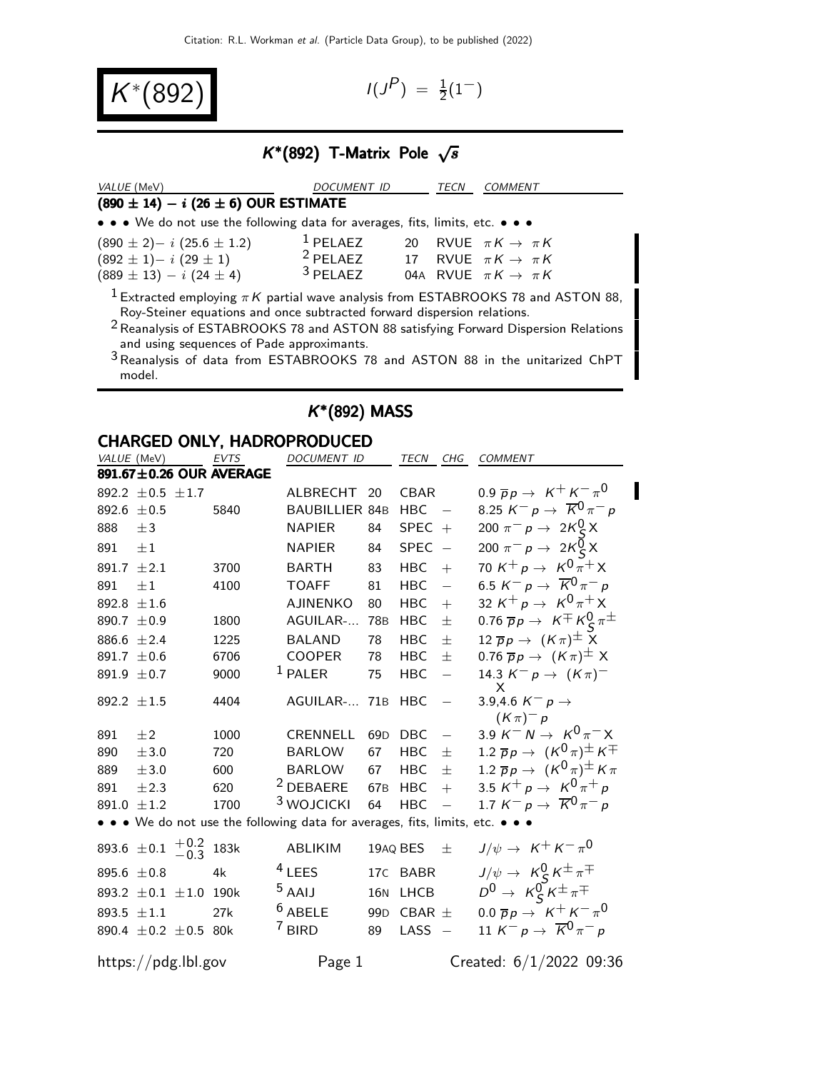$K^{*}(892)$   $1^{1/3}$ 

 $P$ ) =  $\frac{1}{2}(1^{-})$ 

## $K^*(892)$  T-Matrix Pole  $\sqrt{s}$

| VALUE (MeV)                                                                                                                                                                                                                                                                                                     | DOCUMENT ID                                           |    | <i>TECN</i> | COMMENT                            |
|-----------------------------------------------------------------------------------------------------------------------------------------------------------------------------------------------------------------------------------------------------------------------------------------------------------------|-------------------------------------------------------|----|-------------|------------------------------------|
| $(890 \pm 14) - i (26 \pm 6)$ OUR ESTIMATE                                                                                                                                                                                                                                                                      |                                                       |    |             |                                    |
| • • • We do not use the following data for averages, fits, limits, etc. • • •                                                                                                                                                                                                                                   |                                                       |    |             |                                    |
| $(890 \pm 2) - i (25.6 \pm 1.2)$                                                                                                                                                                                                                                                                                | $1$ PELAEZ                                            | 20 |             | RVUE $\pi K \to \pi K$             |
| $(892 \pm 1)- i (29 \pm 1)$                                                                                                                                                                                                                                                                                     | <sup>2</sup> PELAEZ 17 RVUE $\pi K \rightarrow \pi K$ |    |             |                                    |
| $(889 \pm 13) - i (24 \pm 4)$                                                                                                                                                                                                                                                                                   | $3$ PFI AFZ                                           |    |             | 04A RVUE $\pi K \rightarrow \pi K$ |
| $1$ Extracted employing $\pi K$ partial wave analysis from ESTABROOKS 78 and ASTON 88,<br>Roy-Steiner equations and once subtracted forward dispersion relations.<br><sup>2</sup> Reanalysis of ESTABROOKS 78 and ASTON 88 satisfying Forward Dispersion Relations<br>and using sequences of Pade approximants. |                                                       |    |             |                                    |
| <sup>3</sup> Reanalysis of data from ESTABROOKS 78 and ASTON 88 in the unitarized ChPT<br>model.                                                                                                                                                                                                                |                                                       |    |             |                                    |

|                                                                               | <b>CHARGED ONLY, HADROPRODUCED</b> |                       |                 |                |                          |                                                                                            |  |  |  |
|-------------------------------------------------------------------------------|------------------------------------|-----------------------|-----------------|----------------|--------------------------|--------------------------------------------------------------------------------------------|--|--|--|
| VALUE (MeV)                                                                   | EVTS                               | DOCUMENT ID           |                 | TECN CHG       |                          | COMMENT                                                                                    |  |  |  |
| 891.67±0.26 OUR AVERAGE                                                       |                                    |                       |                 |                |                          |                                                                                            |  |  |  |
| 892.2 $\pm$ 0.5 $\pm$ 1.7                                                     |                                    | ALBRECHT              | 20              | <b>CBAR</b>    |                          | 0.9 $\bar{p}p \to K^+ K^- \pi^0$                                                           |  |  |  |
| 892.6 $\pm 0.5$                                                               | 5840                               | <b>BAUBILLIER 84B</b> |                 | <b>HBC</b>     |                          | 8.25 $K^- p \to \overline{K}^0 \pi^- p$                                                    |  |  |  |
| 888<br>$\pm 3$                                                                |                                    | <b>NAPIER</b>         | 84              | SPEC $+$       |                          | 200 $\pi^{-} p \to 2K_{c}^{0} X$                                                           |  |  |  |
| 891<br>$\pm 1$                                                                |                                    | NAPIER                | 84              | <b>SPEC</b>    | $\sim$                   | 200 $\pi^- p \to 2K^0_S X$                                                                 |  |  |  |
| 891.7 $\pm 2.1$                                                               | 3700                               | <b>BARTH</b>          | 83              | <b>HBC</b>     | $+$                      | 70 K <sup>+</sup> p $\rightarrow$ K <sup>0</sup> $\bar{\pi}$ <sup>+</sup> X                |  |  |  |
| 891<br>$\pm 1$                                                                | 4100                               | <b>TOAFF</b>          | 81              | <b>HBC</b>     | $\equiv$                 | 6.5 K <sup>-</sup> p $\rightarrow \overline{K}^{0} \pi^{-} p$                              |  |  |  |
| 892.8 $\pm 1.6$                                                               |                                    | AJINENKO              | 80              | <b>HBC</b>     | $+$                      | 32 K <sup>+</sup> p $\rightarrow$ K <sup>0</sup> $\pi$ <sup>+</sup> X                      |  |  |  |
| 890.7 $\pm$ 0.9                                                               | 1800                               | AGUILAR-              | 78 <sub>B</sub> | <b>HBC</b>     | $\pm$                    | 0.76 $\overline{p}p \rightarrow K \pm K_S^0 \pi^{\pm}$                                     |  |  |  |
| 886.6 $\pm 2.4$                                                               | 1225                               | <b>BALAND</b>         | 78              | <b>HBC</b>     | 士                        | 12 $\overline{p}p \rightarrow (K\pi)^{\pm} X$                                              |  |  |  |
| 891.7 $\pm 0.6$                                                               | 6706                               | <b>COOPER</b>         | 78              | <b>HBC</b>     | $\pm$                    | 0.76 $\overline{p}p \rightarrow (K\pi)^{\pm} X$                                            |  |  |  |
| 891.9 $\pm$ 0.7                                                               | 9000                               | $1$ PALER             | 75              | <b>HBC</b>     | $\frac{1}{2}$            | 14.3 $K^- p \to (K \pi)^-$                                                                 |  |  |  |
| 892.2 $\pm 1.5$                                                               | 4404                               | AGUILAR- 71B          |                 | <b>HBC</b>     | $\overline{\phantom{0}}$ | 3.9,4.6 $K^- p \to$                                                                        |  |  |  |
|                                                                               |                                    |                       |                 |                |                          | $(K \pi)^{-} p$                                                                            |  |  |  |
| $+2$<br>891                                                                   | 1000                               | <b>CRENNELL</b>       | 69 <sub>D</sub> | <b>DBC</b>     |                          | 3.9 K <sup>-</sup> N $\rightarrow$ K <sup>0</sup> $\pi$ <sup>-</sup> X                     |  |  |  |
| 890<br>±3.0                                                                   | 720                                | <b>BARLOW</b>         | 67              | <b>HBC</b>     | $\pm$                    | 1.2 $\overline{p}p \rightarrow (K^0 \pi)^{\pm} K^{\mp}$                                    |  |  |  |
| 889<br>±3.0                                                                   | 600                                | BARLOW                | 67              | <b>HBC</b>     | $\pm$                    | 1.2 $\overline{p}p \rightarrow (K^0 \pi)^{\pm} K \pi$                                      |  |  |  |
| 891<br>±2.3                                                                   | 620                                | <sup>2</sup> DEBAERE  | 67 <sub>B</sub> | <b>HBC</b>     | $+$                      | 3.5 K <sup>+</sup> p $\rightarrow$ K <sup>0</sup> $\pi$ <sup>+</sup> p                     |  |  |  |
| 891.0 $\pm$ 1.2                                                               | 1700                               | <sup>3</sup> WOJCICKI | 64              | <b>HBC</b>     | $\equiv$                 | 1.7 K <sup>-</sup> p $\rightarrow \overline{K}^0 \pi^-$ p                                  |  |  |  |
| • • • We do not use the following data for averages, fits, limits, etc. • • • |                                    |                       |                 |                |                          |                                                                                            |  |  |  |
| 893.6 $\pm$ 0.1 $\frac{+0.2}{-0.3}$                                           | 183k                               | ABLIKIM               |                 | 19AQ BES       | 士                        | $J/\psi \rightarrow K^+ K^- \pi^0$                                                         |  |  |  |
| 895.6 $\pm 0.8$                                                               | 4k                                 | $4$ LEES              |                 | 17C BABR       |                          | $J/\psi \rightarrow K_S^0 K^{\pm} \pi^{\mp}$                                               |  |  |  |
| 893.2 $\pm$ 0.1 $\pm$ 1.0 190k                                                |                                    | $5$ AAIJ              |                 | 16N LHCB       |                          | $D^0 \rightarrow K^0 S K^{\pm} \pi^{\mp}$<br>0.0 $\overline{p}p \rightarrow K^+ K^- \pi^0$ |  |  |  |
| 893.5 $\pm 1.1$                                                               | 27k                                | $6$ ABELE             |                 | 99D CBAR $\pm$ |                          |                                                                                            |  |  |  |
| 890.4 ±0.2 ±0.5 80k                                                           |                                    | <sup>7</sup> BIRD     | 89              | LASS           |                          | 11 K <sup>-</sup> $p \rightarrow \overline{K}^0 \pi^- p$                                   |  |  |  |
| https://pdg.lbl.gov                                                           |                                    | Page 1                |                 |                |                          | Created: 6/1/2022 09:36                                                                    |  |  |  |

### K ∗ (892) MASS

 $\blacksquare$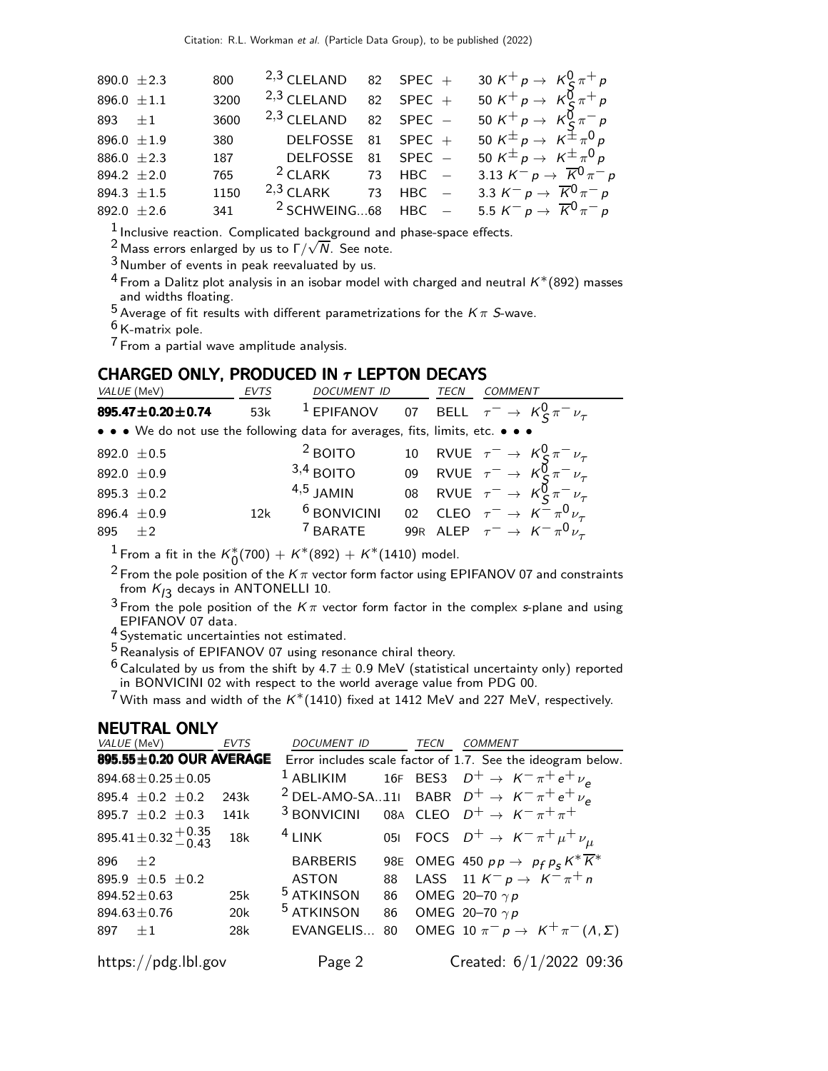| 890.0 $\pm 2.3$ | 800  | $2,3$ CLELAND 82 SPEC + |  | 30 K <sup>+</sup> p $\rightarrow$ K <sup>0</sup> <sub>S</sub> $\pi$ <sup>+</sup> p                  |
|-----------------|------|-------------------------|--|-----------------------------------------------------------------------------------------------------|
| 896.0 $\pm 1.1$ | 3200 | $2,3$ CLELAND 82 SPEC + |  | 50 K <sup>+</sup> p $\rightarrow$ K <sup>0</sup> <sub>C</sub> $\pi$ <sup>+</sup> p                  |
| 893 $\pm 1$     | 3600 | $2,3$ CLELAND 82 SPEC - |  | 50 K <sup>+</sup> p $\rightarrow$ K <sup>0</sup> <sub>S</sub> $\pi^-$ p                             |
| 896.0 $\pm 1.9$ | 380  | DELFOSSE 81 SPEC $+$    |  | 50 K <sup><math>\pm</math></sup> p $\rightarrow$ K <sup><math>\pm</math></sup> $\pi$ <sup>0</sup> p |
| 886.0 $\pm 2.3$ | 187  | DELFOSSE 81 SPEC -      |  | 50 K <sup><math>\pm</math></sup> p $\rightarrow$ K <sup><math>\pm</math></sup> $\pi$ <sup>0</sup> p |
| 894.2 $\pm 2.0$ | 765  | $2$ CLARK 73 HBC $-$    |  | 3.13 $K^- p \to \overline{K}^0 \pi^- p$                                                             |
| 894.3 $\pm 1.5$ | 1150 | $2,3$ CLARK 73 HBC $-$  |  | 3.3 $K^- p \to \overline{K}^0 \pi^- p$                                                              |
| 892.0 $\pm 2.6$ | 341  | $2$ SCHWEING68 HBC $-$  |  | 5.5 $K^- p \to \overline{K}^0 \pi^- p$                                                              |

1 Inclusive reaction. Complicated background and phase-space effects.

<sup>2</sup> Mass errors enlarged by us to  $\Gamma/\sqrt{N}$ . See note.

 $3$  Number of events in peak reevaluated by us.

<sup>4</sup> From a Dalitz plot analysis in an isobar model with charged and neutral  $K^*(892)$  masses and widths floating.

 $5$  Average of fit results with different parametrizations for the  $K\pi$  S-wave.

6 K-matrix pole.

7 From a partial wave amplitude analysis.

## CHARGED ONLY, PRODUCED IN  $\tau$  LEPTON DECAYS

| VALUE (MeV)      | EVTS | DOCUMENT ID                                                                   | TECN | <b>COMMENT</b>                                                          |
|------------------|------|-------------------------------------------------------------------------------|------|-------------------------------------------------------------------------|
| 895.47±0.20±0.74 | 53k  |                                                                               |      | <sup>1</sup> EPIFANOV 07 BELL $\tau^- \rightarrow K^0_S \pi^- \nu_\tau$ |
|                  |      | • • • We do not use the following data for averages, fits, limits, etc. • • • |      |                                                                         |
| 892.0 $\pm$ 0.5  |      | $2$ BOITO                                                                     |      | 10 RVUE $\tau^- \rightarrow K^0_S \pi^- \nu_\tau$                       |
| 892.0 $\pm$ 0.9  |      | $3,4$ BOITO                                                                   |      | 09 RVUE $\tau^- \rightarrow K_S^0 \pi^- \nu_\tau$                       |
| 895.3 $\pm$ 0.2  |      | $4,5$ JAMIN                                                                   |      | 08 RVUE $\tau^- \rightarrow K_S^0 \pi^- \nu_\tau$                       |
| 896.4 $\pm 0.9$  | 12k  | <sup>6</sup> BONVICINI                                                        |      | 02 CLEO $\tau^- \rightarrow K^- \pi^0 \nu_\tau$                         |
| $+2$<br>895      |      | <sup>7</sup> BARATE                                                           |      | 99R ALEP $\tau^- \rightarrow K^- \pi^0 \nu_\tau$                        |

 $\frac{1}{1}$ From a fit in the  $\kappa^*_0(700) + \kappa^*(892) + \kappa^*(1410)$  model.

 $^2$  From the pole position of the K  $\pi$  vector form factor using EPIFANOV 07 and constraints from  $K_{J3}$  decays in <code>ANTONELLI</code> 10.

 $3$  From the pole position of the  $K\pi$  vector form factor in the complex s-plane and using 4 EPIFANOV 07 data.<br><sup>4</sup> Systematic uncertainties not estimated.

5 Reanalysis of EPIFANOV 07 using resonance chiral theory.

 $6$  Calculated by us from the shift by 4.7  $\pm$  0.9 MeV (statistical uncertainty only) reported in BONVICINI 02 with respect to the world average value from PDG 00.

 $7$  With mass and width of the  $K^*(1410)$  fixed at 1412 MeV and 227 MeV, respectively.

#### NEUTRAL ONLY

| VALUE (MeV)                      | <b>EVTS</b> | <b>DOCUMENT ID</b>    |    | TECN | COMMENT                                                              |
|----------------------------------|-------------|-----------------------|----|------|----------------------------------------------------------------------|
| 895.55±0.20 OUR AVERAGE          |             |                       |    |      | Error includes scale factor of 1.7. See the ideogram below.          |
| 894.68 ± 0.25 ± 0.05             |             |                       |    |      | <sup>1</sup> ABLIKIM 16F BES3 $D^+ \rightarrow K^- \pi^+ e^+ \nu_e$  |
| 895.4 $\pm$ 0.2 $\pm$ 0.2        | 243k        |                       |    |      | <sup>2</sup> DEL-AMO-SA11 BABR $D^+ \rightarrow K^- \pi^+ e^+ \nu_e$ |
| 895.7 $\pm$ 0.2 $\pm$ 0.3        | 141k        |                       |    |      | <sup>3</sup> BONVICINI 08A CLEO $D^+ \rightarrow K^- \pi^+ \pi^+$    |
| 895.41 ± 0.32 $^{+0.35}_{-0.43}$ | 18k         | $4$ LINK              |    |      | 051 FOCS $D^+ \to K^- \pi^+ \mu^+ \nu_{\mu}$                         |
| $896 + 2$                        |             | <b>BARBERIS</b>       |    |      | 98E OMEG 450 $pp \rightarrow p_f p_s K^* \overline{K^*}$             |
| 895.9 $\pm$ 0.5 $\pm$ 0.2        |             | <b>ASTON</b>          | 88 |      | LASS 11 $K^- p \rightarrow K^- \pi^+ n$                              |
| $894.52 \pm 0.63$                | 25k         | <sup>5</sup> ATKINSON |    |      | 86 OMEG 20-70 $\gamma p$                                             |
| $894.63 \pm 0.76$                | 20k         | <sup>5</sup> ATKINSON |    |      | 86 OMEG 20-70 $\gamma p$                                             |
| 897 $+1$                         | 28k         | EVANGELIS             | 80 |      | OMEG 10 $\pi^ p \to K^+ \pi^- (\Lambda, \Sigma)$                     |
| https://pdg.lbl.gov              |             | Page 2                |    |      | Created: $6/1/2022$ 09:36                                            |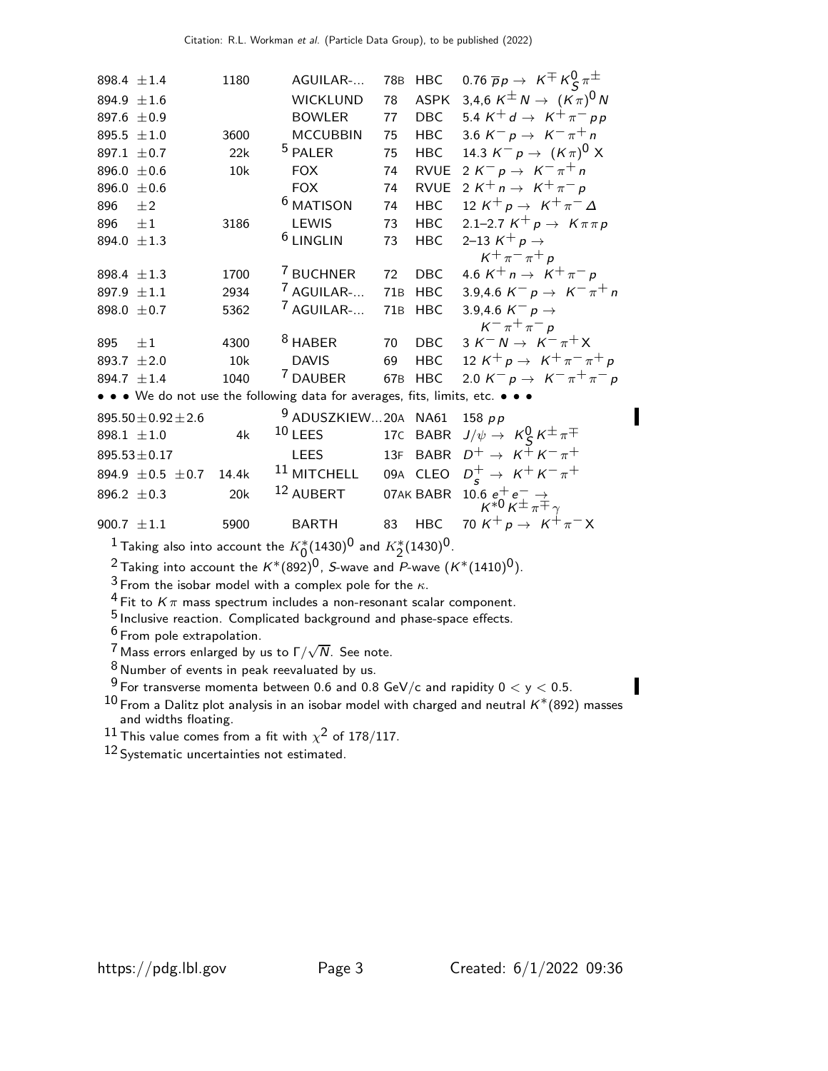898.4  $\pm$ 1.4 1180 AGUILAR-... 78B HBC 0.76  $\overline{p}p \rightarrow K^{\mp} K^0_S \pi^{\pm}$ 894.9  $\pm$ 1.6 WICKLUND 78 ASPK 3,4,6 K $\pm$  N  $\rightarrow$   $(K\pi)^0$  N 897.6 ±0.9 BOWLER 77 DBC 5.4 K<sup>+</sup> d → K<sup>+</sup>  $\pi^{-}$  p p 895.5 ±1.0 3600 MCCUBBIN 75 HBC 3.6 K<sup>-</sup> p → K<sup>-</sup>  $\pi^{+}$  n 895.5  $\pm$ 1.0 3600 MCCUBBIN 75 HBC 3.6 K<sup>-</sup> p → K<sup>-</sup>  $\pi$ <sup>+</sup> n<br>897.1  $\pm$ 0.7 22k <sup>5</sup> PALER 75 HBC 14.3 K<sup>-</sup> p → (K $\pi$ )<sup>0</sup>) 897.1  $\pm$ 0.7 22k <sup>5</sup> PALER 75 HBC 14.3 K<sup>-</sup> p → (K $\pi$ )<sup>0</sup> X 896.0 ±0.6 10k FOX 74 RVUE 2  $K^- p \rightarrow K^-\pi^+ n$ <br>896.0 ±0.6 FOX 74 RVUE 2  $K^+ n \rightarrow K^+\pi^- p$  $±0.6$  FOX 74 RVUE  $2 K^+ n \rightarrow K^+ \pi^- p$ <br> $±2$  6 MATISON 74 HBC  $12 K^+ p \rightarrow K^+ \pi^ \begin{array}{cc} 896 & \pm 2 \\ 896 & \pm 1 \end{array}$ MATISON 74 HBC 12  $K^+ p \rightarrow K^+ \pi^- \Delta$ <br>LEWIS 73 HBC 2.1–2.7  $K^+ p \rightarrow K \pi \pi$ 3186 LEWIS 73 HBC 2.1–2.7  $K^+ p \to K \pi \pi p$ <br>6 LINGLIN 73 HBC 2–13  $K^+ p \to K \pi \pi p$ 894.0  $\pm 1.3$ 2–13  $K^+$  p  $\rightarrow$  $K^+ \pi^- \pi^+ p$ 898.4  $\pm$ 1.3 1700 <sup>7</sup> BUCHNER 72 DBC 4.6 K<sup>+</sup> n → K<sup>+</sup>  $\pi$ <sup>-</sup> p<br>897.9  $\pm$ 1.1 2934 <sup>7</sup> AGUILAR-... 71B HBC 3.9.4.6 K<sup>-</sup> p → K<sup>-</sup>  $\pi$ 897.9  $\pm$ 1.1 2934 <sup>7</sup> AGUILAR-... 71B HBC 3.9,4.6 K<sup>-</sup> p → K<sup>--</sup>  $\pi$ <sup>+</sup> n<br>898.0  $\pm$ 0.7 5362 <sup>7</sup> AGUILAR-... 71B HBC 3.9,4.6 K<sup>--</sup> p → 3.9,4.6  $K^-$  p  $\rightarrow$  $K^-\pi^+\pi^-\rho$ 895  $\pm 1$  4300 <sup>8</sup> HABER 70 DBC 3 K<sup>−</sup> N → K<sup>−</sup> π<sup>+</sup> X<br>893.7  $\pm$  2.0 10k DAVIS 69 HBC 12 K<sup>+</sup> p → K<sup>+</sup> π<sup>−</sup> π 893.7  $\pm$ 2.0 10k DAVIS 69 HBC 12  $K^{+}p \rightarrow K^{+}\pi^{-}\pi^{+}p$ <br>894.7  $\pm$ 1.4 1040 <sup>7</sup> DAUBER 67B HBC 2.0  $K^{-}p \rightarrow K^{-}\pi^{+}\pi^{-}p$ 2.0  $K^- p \to K^- \pi^+ \pi^- p$ • • • We do not use the following data for averages, fits, limits, etc. • • •  $895.50 \pm 0.92 \pm 2.6$ <br>898.1  $\pm 1.0$  $9$  ADUSZKIEW...20A NA61 158 pp 898.1  $\pm$ 1.0 4k <sup>10</sup> LEES 17C BABR  $J/\psi \rightarrow K$   $K$   $K^{\pm}$   $\pi^{\mp}$  $895.53 \pm 0.17$  LEES  $13F$  BABR  $D^+ \to K^+ K^- \pi^+$ <br>  $894.9 \pm 0.5 \pm 0.7$  14.4k  $11$  MITCHELL 09A CLEO  $D^+ \to K^+ K^- \pi^+$  $894.9 \pm 0.5 \pm 0.7$  14.4k  $11$  MITCHELL 09A<br>  $896.2 \pm 0.3$  20k  $12$  AUBERT 07AL  $s^+$   $\rightarrow$   $K^+ K^- \pi^+$ 896.2  $\pm$  0.3 20k  $^{12}$  AUBERT 07AK BABR  $\frac{10.6}{K^{*0}}\frac{e^+}{K^{\pm}}\frac{e^-}{\pi^{\mp}}\gamma$ 900.7  $\pm 1.1$  5900 BARTH 83 HBC 70 K<sup>+</sup> p → K<sup>+</sup>  $\pi$ <sup>-</sup> X  $\frac{1}{2}$  Taking also into account the  $K^*_0(1430)^0$  and  $K^*_2(1430)^0$ . <sup>2</sup> Taking into account the  $K^*(892)^0$ , S-wave and P-wave  $(K^*(1410)^0)$ .

 $3$  From the isobar model with a complex pole for the  $\kappa$ .

 $4$  Fit to  $K\pi$  mass spectrum includes a non-resonant scalar component.

5 Inclusive reaction. Complicated background and phase-space effects.

<sup>6</sup> From pole extrapolation.

<sup>7</sup> Mass errors enlarged by us to  $\Gamma/\sqrt{N}$ . See note.

8 Number of events in peak reevaluated by us.

 $9$  For transverse momenta between 0.6 and 0.8 GeV/c and rapidity  $0 < y < 0.5$ .

 $^{10}$  From a Dalitz plot analysis in an isobar model with charged and neutral  $\mathsf{K}^{*}(892)$  masses and widths floating.

 $^{11}$  This value comes from a fit with  $\chi^2$  of 178/117.

12 Systematic uncertainties not estimated.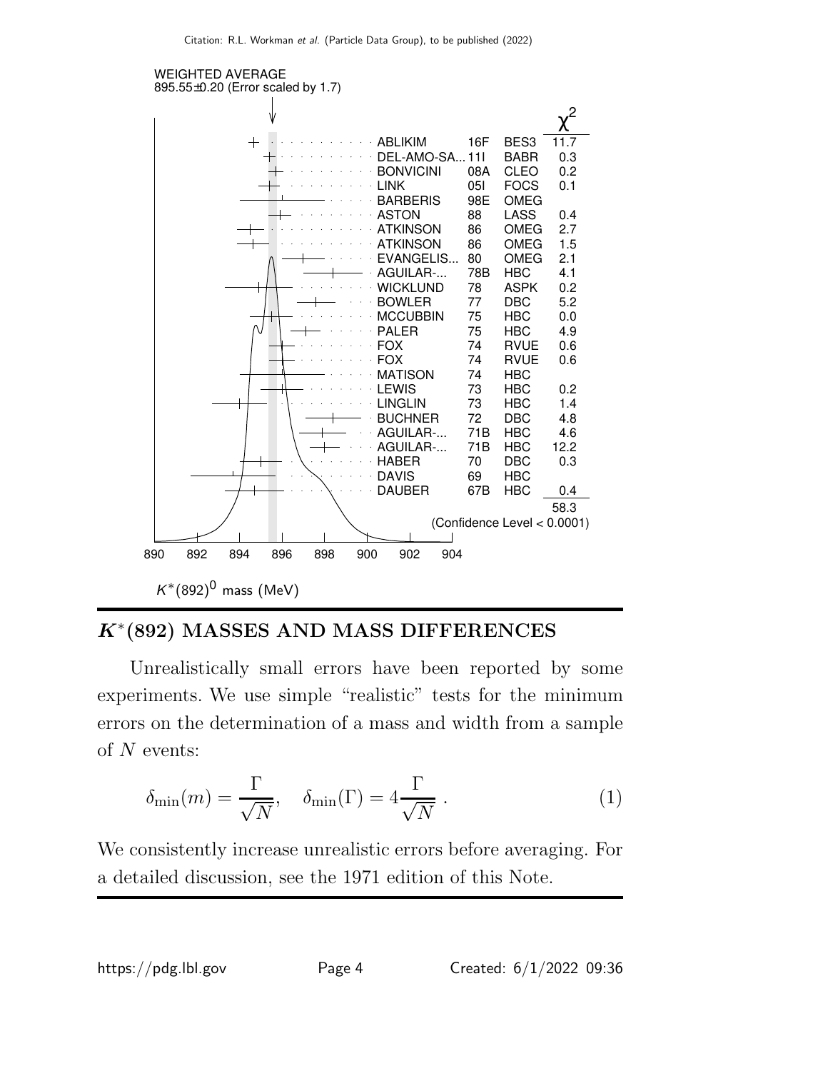

# $K^*(892)$  MASSES AND MASS DIFFERENCES

Unrealistically small errors have been reported by some experiments. We use simple "realistic" tests for the minimum errors on the determination of a mass and width from a sample of  $N$  events:

$$
\delta_{\min}(m) = \frac{\Gamma}{\sqrt{N}}, \quad \delta_{\min}(\Gamma) = 4\frac{\Gamma}{\sqrt{N}}.
$$
 (1)

We consistently increase unrealistic errors before averaging. For a detailed discussion, see the 1971 edition of this Note.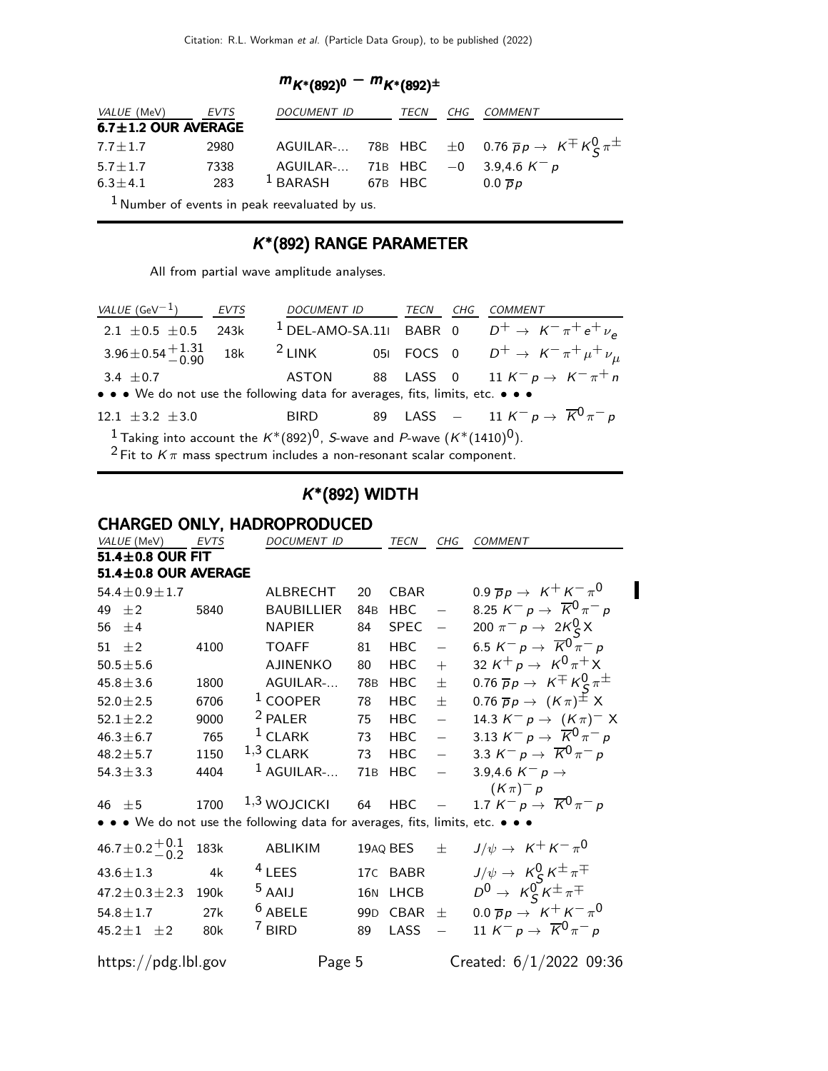$$
m_{K^*(892)^0} - m_{K^*(892)^{\pm}}
$$

| <i>VALUE</i> (MeV)        | EVTS | DOCUMENT ID TECN CHG COMMENT                    |  |                                                                                                 |
|---------------------------|------|-------------------------------------------------|--|-------------------------------------------------------------------------------------------------|
| $6.7 \pm 1.2$ OUR AVERAGE |      |                                                 |  |                                                                                                 |
| $7.7\pm1.7$               | 2980 |                                                 |  | AGUILAR- 78B HBC $\pm 0$ 0.76 $\overline{p}p \rightarrow K^{\mp} K_{\mathcal{S}}^{0} \pi^{\pm}$ |
| $5.7 \pm 1.7$             | 7338 | AGUILAR- 71B HBC $-0$ 3.9,4.6 $K^- p$           |  |                                                                                                 |
| $6.3 \pm 4.1$             |      | 283 $^1$ BARASH 67B HBC                         |  | $0.0 \overline{D}p$                                                                             |
|                           |      | $1$ Number of events in peak reevaluated by us. |  |                                                                                                 |

### K ∗ (892) RANGE PARAMETER

All from partial wave amplitude analyses.

| VALUE $(\text{GeV}^{-1})$ EVTS                                                |      | DOCUMENT ID TECN CHG COMMENT                                                            |  |                                                                                                                         |
|-------------------------------------------------------------------------------|------|-----------------------------------------------------------------------------------------|--|-------------------------------------------------------------------------------------------------------------------------|
| $2.1 \pm 0.5 \pm 0.5$                                                         | 243k |                                                                                         |  | <sup>1</sup> DEL-AMO-SA.11 BABR 0 $D^+ \rightarrow K^- \pi^+ e^+ \nu_e$                                                 |
|                                                                               |      |                                                                                         |  | 3.96 $\pm$ 0.54 $^{+1.31}_{-0.90}$ 18k <sup>2</sup> LINK 05I FOCS 0 $D^{+} \rightarrow K^{-} \pi^{+} \mu^{+} \nu_{\mu}$ |
| 3.4 $\pm$ 0.7                                                                 |      |                                                                                         |  | ASTON 88 LASS 0 11 $K^- p \rightarrow K^- \pi^+ n$                                                                      |
| • • • We do not use the following data for averages, fits, limits, etc. • • • |      |                                                                                         |  |                                                                                                                         |
| 12.1 $\pm$ 3.2 $\pm$ 3.0                                                      |      |                                                                                         |  | BIRD 89 LASS $-$ 11 $K^- p \rightarrow \overline{K}^0 \pi^- p$                                                          |
|                                                                               |      | <sup>1</sup> Taking into account the $K^*(892)^0$ , S-wave and P-wave $(K^*(1410)^0)$ . |  |                                                                                                                         |

<sup>2</sup> Fit to  $K\pi$  mass spectrum includes a non-resonant scalar component.

### K ∗ (892) WIDTH

## CHARGED ONLY, HADROPRODUCED

| VALUE (MeV)                 | <b>EVTS</b> | <b>DOCUMENT ID</b>                                                            |                 | TECN        | CHG                      | COMMENT                                                                                   |  |  |
|-----------------------------|-------------|-------------------------------------------------------------------------------|-----------------|-------------|--------------------------|-------------------------------------------------------------------------------------------|--|--|
| $51.4 \pm 0.8$ OUR FIT      |             |                                                                               |                 |             |                          |                                                                                           |  |  |
| $51.4 \pm 0.8$ OUR AVERAGE  |             |                                                                               |                 |             |                          |                                                                                           |  |  |
| $54.4 \pm 0.9 \pm 1.7$      |             | ALBRECHT                                                                      | 20              | <b>CBAR</b> |                          | 0.9 $\overline{p}p \rightarrow K^+ K^- \pi^0$                                             |  |  |
| 49 $\pm 2$                  | 5840        | <b>BAUBILLIER</b>                                                             | 84 <sub>B</sub> | <b>HBC</b>  | $\overline{\phantom{m}}$ | 8.25 $K^- p \to \overline{K}^0 \pi^- p$                                                   |  |  |
| 56 $\pm$ 4                  |             | <b>NAPIER</b>                                                                 | 84              | <b>SPEC</b> | $\equiv$                 | 200 $\pi^{-} p \to 2K_{S}^{0} X$                                                          |  |  |
| 51 $\pm 2$                  | 4100        | <b>TOAFF</b>                                                                  | 81              | <b>HBC</b>  | $\equiv$                 | 6.5 $K^- p \to \overline{K}^0 \bar{\pi}^- p$                                              |  |  |
| $50.5 \pm 5.6$              |             | <b>AJINENKO</b>                                                               | 80              | <b>HBC</b>  | $+$                      | 32 $K^+ p \to K^0 \pi^+ X$                                                                |  |  |
| $45.8 \pm 3.6$              | 1800        | AGUILAR-                                                                      | 78B             | <b>HBC</b>  | $\pm$                    | 0.76 $\overline{p}p \rightarrow K \pm K \frac{0}{5} \pi^{\pm}$                            |  |  |
| $52.0 \pm 2.5$              | 6706        | $1$ COOPER                                                                    | 78              | <b>HBC</b>  | $\pm$                    | $0.76 \overline{p}p \rightarrow (K\pi)^{\pm} X$                                           |  |  |
| $52.1 \pm 2.2$              | 9000        | <sup>2</sup> PALER                                                            | 75              | <b>HBC</b>  | $\overline{\phantom{0}}$ | 14.3 $K^- p \to (K \pi)^- X$                                                              |  |  |
| $46.3 \pm 6.7$              | 765         | $1$ CLARK                                                                     | 73              | <b>HBC</b>  | $\frac{1}{2}$            | 3.13 $K^- p \to \overline{K}^0 \pi^- p$                                                   |  |  |
| $48.2 \pm 5.7$              | 1150        | $1,3$ CLARK                                                                   | 73              | HBC         | $\frac{1}{2}$            | 3.3 $K^- p \to \overline{K}^0 \pi^- p$                                                    |  |  |
| $54.3 \pm 3.3$              | 4404        | $^1$ AGUILAR-                                                                 | 71 <sub>B</sub> | <b>HBC</b>  | $\frac{1}{2}$            | 3.9,4.6 $K^- p \rightarrow$                                                               |  |  |
|                             |             |                                                                               |                 |             |                          | $(K \pi)^{-} p$                                                                           |  |  |
| 46 $\pm$ 5                  | 1700        | $1,3$ WOJCICKI                                                                | 64              | <b>HBC</b>  |                          | 1.7 $K^- p \rightarrow \overline{K}^0 \pi^- p$                                            |  |  |
|                             |             | • • • We do not use the following data for averages, fits, limits, etc. • • • |                 |             |                          |                                                                                           |  |  |
| 46.7 ± 0.2 $^{+0.1}_{-0.2}$ | 183k        | ABLIKIM                                                                       |                 | 19AQ BES    | $\pm$                    | $J/\psi \rightarrow K^+ K^- \pi^0$                                                        |  |  |
| $43.6 \pm 1.3$              | 4k          | $4$ LEES                                                                      |                 | 17C BABR    |                          |                                                                                           |  |  |
| $47.2 \pm 0.3 \pm 2.3$ 190k |             | <sup>5</sup> AAIJ                                                             |                 | 16N LHCB    |                          | $J/\psi \rightarrow K_S^0 K^{\pm} \pi^{\mp}$<br>$D^0 \rightarrow K_S^0 K^{\pm} \pi^{\mp}$ |  |  |
| $54.8 \pm 1.7$              | 27k         | $6$ ABELE                                                                     |                 | 99D CBAR    | $\pm$                    | $0.0 \overline{p}p \rightarrow K^+ K^- \pi^0$                                             |  |  |
| $45.2 \pm 1 \pm 2$          | 80k         | <sup>7</sup> BIRD                                                             | 89              | LASS        |                          | 11 K <sup>-</sup> p $\rightarrow \overline{K}^0 \pi^- p$                                  |  |  |
| https://pdg.lbl.gov         |             | Page 5                                                                        |                 |             |                          | Created: $6/1/2022$ 09:36                                                                 |  |  |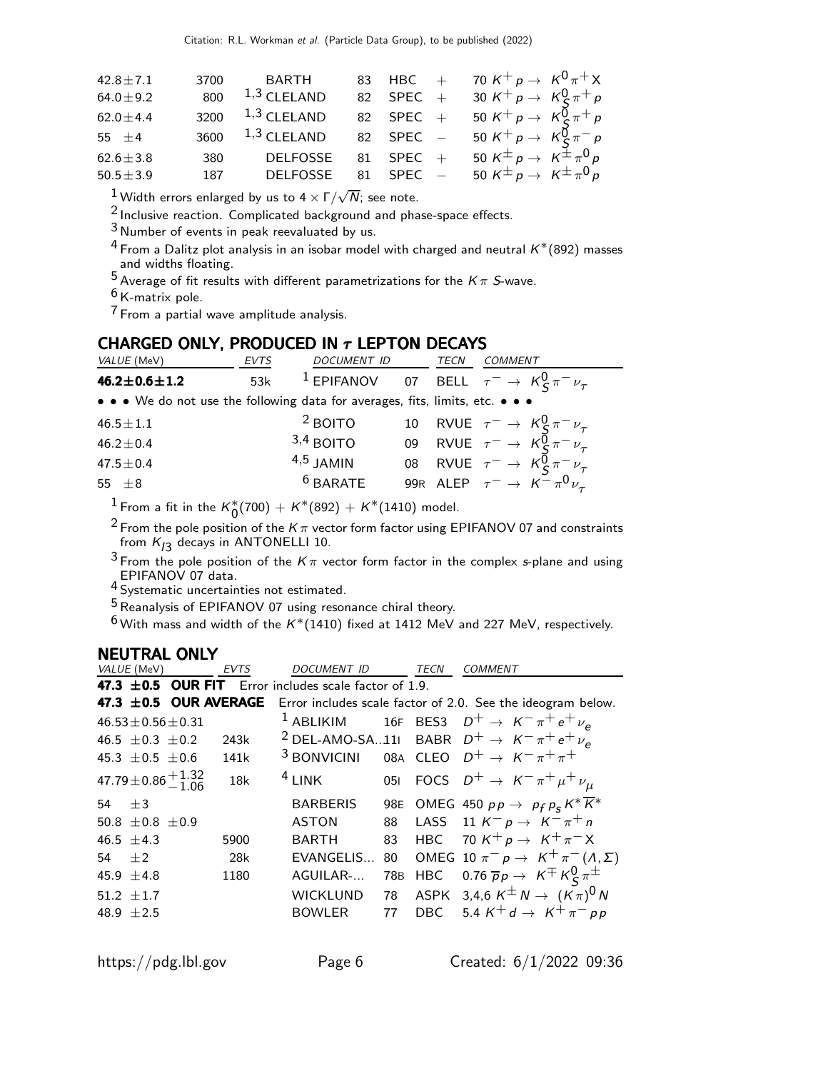| 70 K <sup>+</sup> p $\rightarrow$ K <sup>0</sup> $\pi$ <sup>+</sup> X                               |
|-----------------------------------------------------------------------------------------------------|
| 30 K <sup>+</sup> p $\rightarrow$ K <sup>0</sup> <sub>S</sub> $\pi$ <sup>+</sup> p                  |
| 50 K <sup>+</sup> p $\rightarrow$ K <sup>0</sup> <sub>S</sub> $\pi$ <sup>+</sup> p                  |
| 50 K <sup>+</sup> p $\rightarrow$ K <sup>0</sup> <sub>S</sub> $\pi^-$ p                             |
| 50 $K^{\pm} p \rightarrow K^{\pm} \pi^0 p$                                                          |
| 50 K <sup><math>\pm</math></sup> p $\rightarrow$ K <sup><math>\pm</math></sup> $\pi$ <sup>0</sup> p |
|                                                                                                     |

 $\frac{1}{2}$  Width errors enlarged by us to 4  $\times$  Γ/ $\sqrt{N}$ ; see note.

2 Inclusive reaction. Complicated background and phase-space effects.

 $3$  Number of events in peak reevaluated by us.

- <sup>4</sup> From a Dalitz plot analysis in an isobar model with charged and neutral  $K^*(892)$  masses and widths floating.
- 5 Average of fit results with different parametrizations for the  $K\pi$  S-wave.
- $6$  K-matrix pole.
- 7 From a partial wave amplitude analysis.

#### CHARGED ONLY, PRODUCED IN  $\tau$  LEPTON DECAYS

| VALUE (MeV)                                                                   | <b>EVTS</b> | <b>DOCUMENT ID</b> | TECN | COMMENT                                                                 |
|-------------------------------------------------------------------------------|-------------|--------------------|------|-------------------------------------------------------------------------|
| $46.2 \pm 0.6 \pm 1.2$                                                        | 53k         |                    |      | <sup>1</sup> EPIFANOV 07 BELL $\tau^- \rightarrow K_S^0 \pi^- \nu_\tau$ |
| • • • We do not use the following data for averages, fits, limits, etc. • • • |             |                    |      |                                                                         |
| $46.5 \pm 1.1$                                                                |             | <sup>2</sup> BOITO |      | 10 RVUE $\tau^- \rightarrow K^0_S \pi^- \nu_\tau$                       |
| $46.2 \pm 0.4$                                                                |             | $3,4$ BOITO        |      | 09 RVUE $\tau^- \rightarrow K_S^0 \pi^- \nu_\tau$                       |
| $47.5 \pm 0.4$                                                                |             | $4,5$ JAMIN        |      | 08 RVUE $\tau^- \rightarrow K^0_S \pi^- \nu_\tau$                       |
| 55 $\pm$ 8                                                                    |             | $6$ BARATE         |      | 99R ALEP $\tau^ \rightarrow$ $K^ \pi^0$ $\nu_{\tau}$                    |

 $\frac{1}{1}$ From a fit in the  $\kappa^*_0(700) + \kappa^*(892) + \kappa^*(1410)$  model.

 $^2$  From the pole position of the K  $\pi$  vector form factor using EPIFANOV 07 and constraints from  $K_{/3}$  decays in <code>ANTONELLI</code> 10.

 $^3$  From the pole position of the  $K\pi$  vector form factor in the complex s-plane and using EPIFANOV 07 data. 4 Systematic uncertainties not estimated.

 $5$  Reanalysis of EPIFANOV 07 using resonance chiral theory.

 $6$  With mass and width of the  $K^*(1410)$  fixed at 1412 MeV and 227 MeV, respectively.

#### NEUTRAL ONLY

|  | VALUE (MeV)              |                                                              | <b>EVTS</b>      | <b>DOCUMENT ID</b>                                         |    | <b>TECN</b> | <b>COMMENT</b>                                                                    |
|--|--------------------------|--------------------------------------------------------------|------------------|------------------------------------------------------------|----|-------------|-----------------------------------------------------------------------------------|
|  |                          |                                                              |                  | 47.3 $\pm$ 0.5 OUR FIT Error includes scale factor of 1.9. |    |             |                                                                                   |
|  |                          |                                                              |                  |                                                            |    |             | 47.3 ±0.5 OUR AVERAGE Error includes scale factor of 2.0. See the ideogram below. |
|  |                          | $46.53 \pm 0.56 \pm 0.31$                                    |                  |                                                            |    |             | <sup>1</sup> ABLIKIM 16F BES3 $D^+ \rightarrow K^- \pi^+ e^+ \nu_e$               |
|  |                          | 46.5 $\pm$ 0.3 $\pm$ 0.2                                     | 243k             |                                                            |    |             | <sup>2</sup> DEL-AMO-SA11 BABR $D^+ \rightarrow K^- \pi^+ e^+ \nu_e$              |
|  | 45.3 $\pm$ 0.5 $\pm$ 0.6 |                                                              | 141 <sub>k</sub> |                                                            |    |             | <sup>3</sup> BONVICINI 08A CLEO $D^+ \rightarrow K^- \pi^+ \pi^+$                 |
|  |                          | $47.79 \pm 0.86 \begin{array}{c} +1.32 \\ -1.06 \end{array}$ | 18k              | $4$ LINK                                                   |    |             | 051 FOCS $D^+ \to K^- \pi^+ \mu^+ \nu_\mu$                                        |
|  | 54 $\pm$ 3               |                                                              |                  | <b>BARBERIS</b>                                            |    |             | 98E OMEG 450 $pp \rightarrow p_f p_s K^* \overline{K^*}$                          |
|  | 50.8 $\pm$ 0.8 $\pm$ 0.9 |                                                              |                  | <b>ASTON</b>                                               |    |             | 88 LASS 11 $K^- p \to K^- \pi^+ n$                                                |
|  | 46.5 $\pm$ 4.3           |                                                              | 5900             | <b>BARTH</b>                                               |    |             | 83 HBC 70 $K^+ p \to K^+ \pi^- X$                                                 |
|  | $54 + 2$                 |                                                              | 28k              | EVANGELIS                                                  | 80 |             | OMEG 10 $\pi^- p \to K^+ \pi^- (\Lambda, \Sigma)$                                 |
|  | 45.9 $\pm$ 4.8           |                                                              | 1180             | AGUILAR-                                                   |    |             | 78B HBC 0.76 $\overline{p}p \rightarrow K^{\pm} K^0_S \pi^{\pm}$                  |
|  | 51.2 $\pm$ 1.7           |                                                              |                  | <b>WICKLUND</b>                                            |    |             | 78 ASPK 3,4,6 $K^{\pm}N \to (K\pi)^0 N$                                           |
|  | 48.9 $\pm 2.5$           |                                                              |                  | BOWLER                                                     |    |             | 77 DBC 5.4 $K^+d \to K^+\pi^-p\rho$                                               |
|  |                          |                                                              |                  |                                                            |    |             |                                                                                   |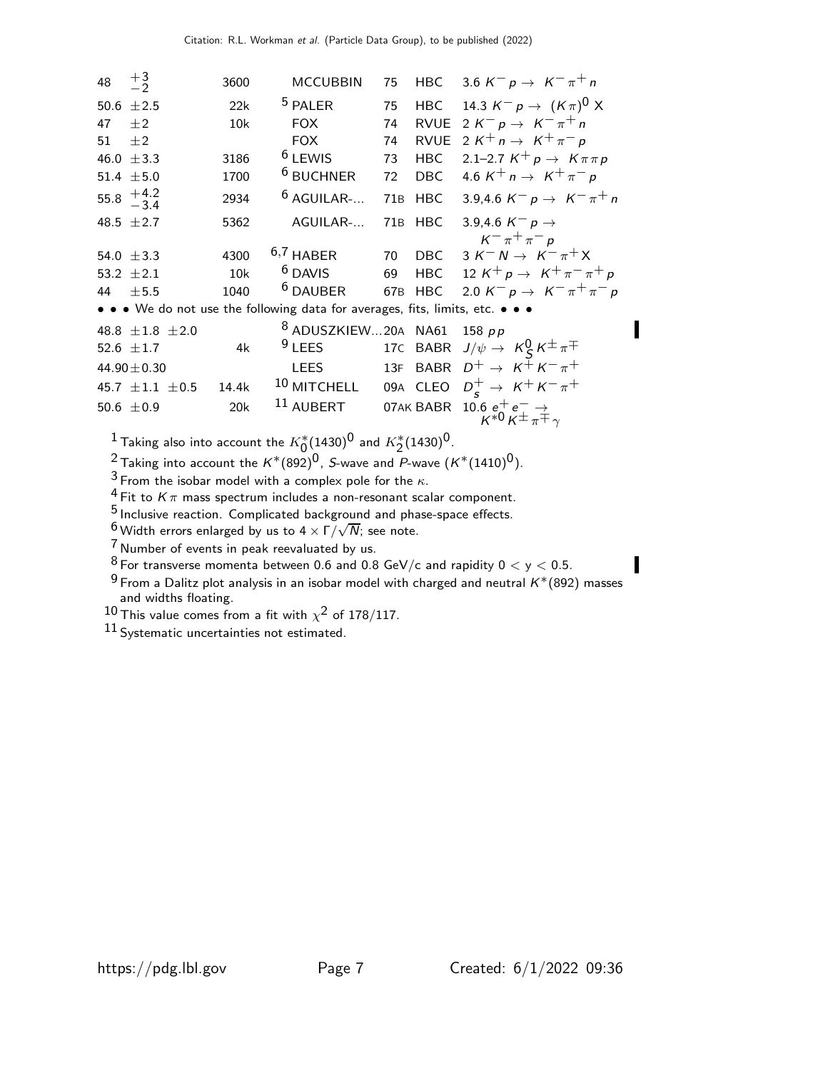| 48   | $\frac{+3}{-2}$                                  | 3600  | <b>MCCUBBIN</b>                                                               | 75  | HBC        | 3.6 K <sup>-</sup> p $\rightarrow$ K <sup>-</sup> $\pi$ <sup>+</sup> n     |
|------|--------------------------------------------------|-------|-------------------------------------------------------------------------------|-----|------------|----------------------------------------------------------------------------|
| 50.6 | ±2.5                                             | 22k   | <sup>5</sup> PALER                                                            | 75  | HBC        | 14.3 $K^- p \to (K \pi)^0 X$                                               |
| 47   | $\pm 2$                                          | 10k   | <b>FOX</b>                                                                    | 74  |            | RVUE $2 K^- p \rightarrow K^- \pi^+ n$                                     |
| 51   | $\pm 2$                                          |       | <b>FOX</b>                                                                    | 74  | RVUE       | 2 K <sup>+</sup> n $\rightarrow$ K <sup>+</sup> $\pi$ <sup>-</sup> p       |
|      | 46.0 $\pm$ 3.3                                   | 3186  | <sup>6</sup> LEWIS                                                            | 73  | <b>HBC</b> | 2.1–2.7 $K^+ p \to K \pi \pi p$                                            |
|      | 51.4 $\pm$ 5.0                                   | 1700  | <sup>6</sup> BUCHNER                                                          | 72  | DBC        | 4.6 K <sup>+</sup> n $\rightarrow$ K <sup>+</sup> $\pi$ <sup>-</sup> p     |
|      | $55.8 \begin{array}{c} +4.2 \\ -3.4 \end{array}$ | 2934  | $6$ AGUILAR-                                                                  | 71B | <b>HBC</b> | 3.9,4.6 K <sup>-</sup> p $\rightarrow$ K <sup>-</sup> $\pi$ <sup>+</sup> n |
|      | 48.5 $\pm 2.7$                                   | 5362  | AGUILAR-                                                                      |     | 71B HBC    | 3.9,4.6 K <sup>-</sup> p $\rightarrow$                                     |
|      |                                                  |       |                                                                               |     |            | $K^{-} \pi^{+} \pi^{-} p$                                                  |
|      | 54.0 $\pm$ 3.3                                   | 4300  | $6,7$ HABER                                                                   | 70  | DBC        | $3 K^- N \rightarrow K^- \pi^+ X$                                          |
|      | 53.2 $\pm 2.1$                                   | 10k   | <sup>6</sup> DAVIS                                                            | 69  |            | HBC 12 $K^+ p \to K^+ \pi^- \pi^+ p$                                       |
| 44   | ±5.5                                             | 1040  | <sup>6</sup> DAUBER                                                           |     | 67B HBC    | 2.0 $K^- p \to K^- \pi^+ \pi^- p$                                          |
|      |                                                  |       | • • • We do not use the following data for averages, fits, limits, etc. • • • |     |            |                                                                            |
|      | 48.8 $\pm 1.8$ $\pm 2.0$                         |       | 8 ADUSZKIEW20A NA61                                                           |     |            | 158 $pp$                                                                   |
|      | 52.6 $\pm$ 1.7                                   | 4k    | $9$ LEES                                                                      |     |            | 17C BABR $J/\psi \rightarrow K^0_S K^{\pm} \pi^{\mp}$                      |
|      | $44.90 \pm 0.30$                                 |       | LEES                                                                          |     |            | 13F BABR $D^+ \rightarrow K^+ K^- \pi^+$                                   |
|      | 45.7 $\pm 1.1$ $\pm 0.5$                         | 14.4k | <sup>10</sup> MITCHELL                                                        |     | 09A CLEO   | $D_s^+ \rightarrow K^+ K^- \pi^+$                                          |
|      | 50.6 $\pm$ 0.9                                   | 20k   | <sup>11</sup> AUBERT                                                          |     | 07AK BABR  | 10.6 $e^+e^- \rightarrow K^{*0}K^{\pm} \pi^{\mp} \gamma$                   |

 $\frac{1}{1}$  Taking also into account the  $K^*_0(1430)^0$  and  $K^*_2(1430)^0$ .

<sup>2</sup> Taking into account the  $K^*(892)^0$ , S-wave and P-wave  $(K^*(1410)^0)$ .

 $3$  From the isobar model with a complex pole for the  $\kappa$ .

<sup>4</sup> Fit to  $K\pi$  mass spectrum includes a non-resonant scalar component.

5 Inclusive reaction. Complicated background and phase-space effects.

<sup>6</sup> Width errors enlarged by us to 4  $\times$   $\sqrt[r]{N}$ ; see note.

7 Number of events in peak reevaluated by us.

 $8$  For transverse momenta between 0.6 and 0.8 GeV/c and rapidity  $0 < y < 0.5$ .

 $9$  From a Dalitz plot analysis in an isobar model with charged and neutral  $K^*(892)$  masses and widths floating.

 $^{10}$  This value comes from a fit with  $\chi^2$  of 178/117.

11 Systematic uncertainties not estimated.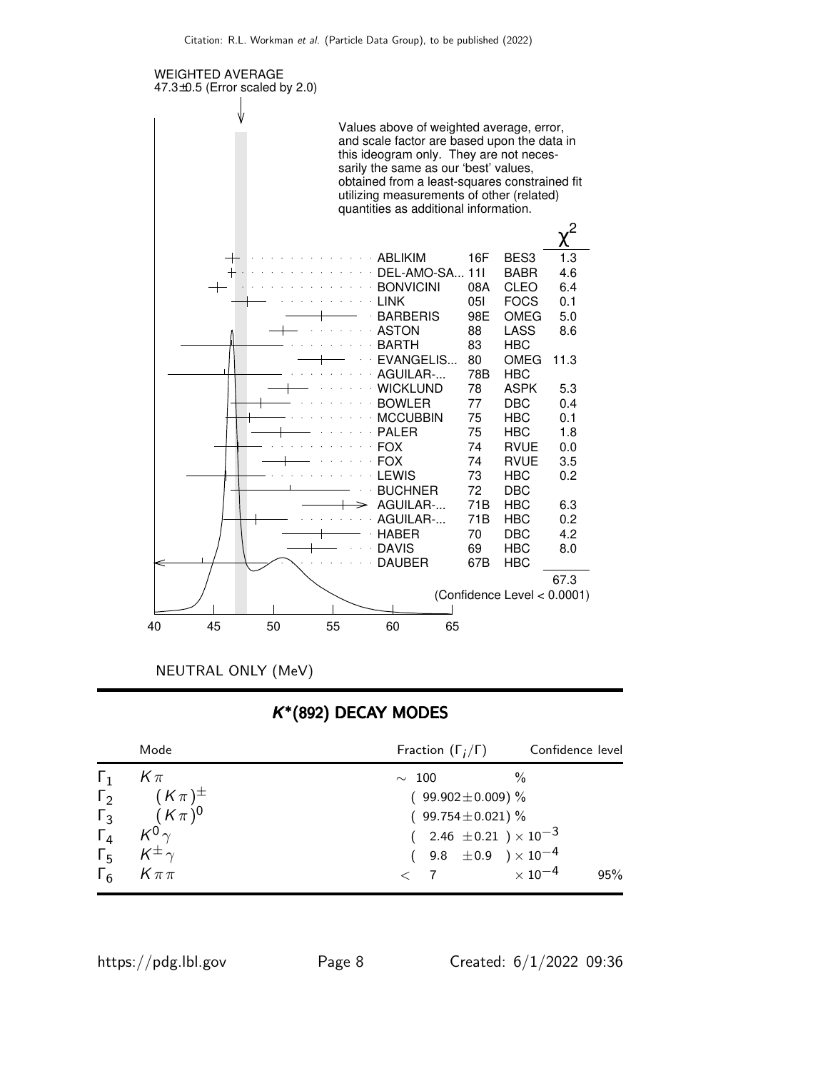

NEUTRAL ONLY (MeV)

## K ∗ (892) DECAY MODES

| Mode                                                                         | Fraction $(\Gamma_i/\Gamma)$     | Confidence level           |
|------------------------------------------------------------------------------|----------------------------------|----------------------------|
| $\Gamma_1$ $K\pi$                                                            | $\sim 100$                       | %                          |
| $\Gamma_2$ $(K \pi)^{\pm}$                                                   | $(99.902 \pm 0.009)$ %           |                            |
| $\begin{array}{cc} \Gamma_3 & (K\pi)^0 \\ \Gamma_4 & K^0 \gamma \end{array}$ | $(99.754 \pm 0.021)\%$           |                            |
|                                                                              | $(2.46 \pm 0.21) \times 10^{-3}$ |                            |
| $\Gamma_5$ $K^{\pm}$ $\gamma$                                                | $(9.8 \pm 0.9) \times 10^{-4}$   |                            |
| $\Gamma_6$ $K \pi \pi$                                                       | $\langle 7 \rangle$              | $\times$ 10 $^{-4}$<br>95% |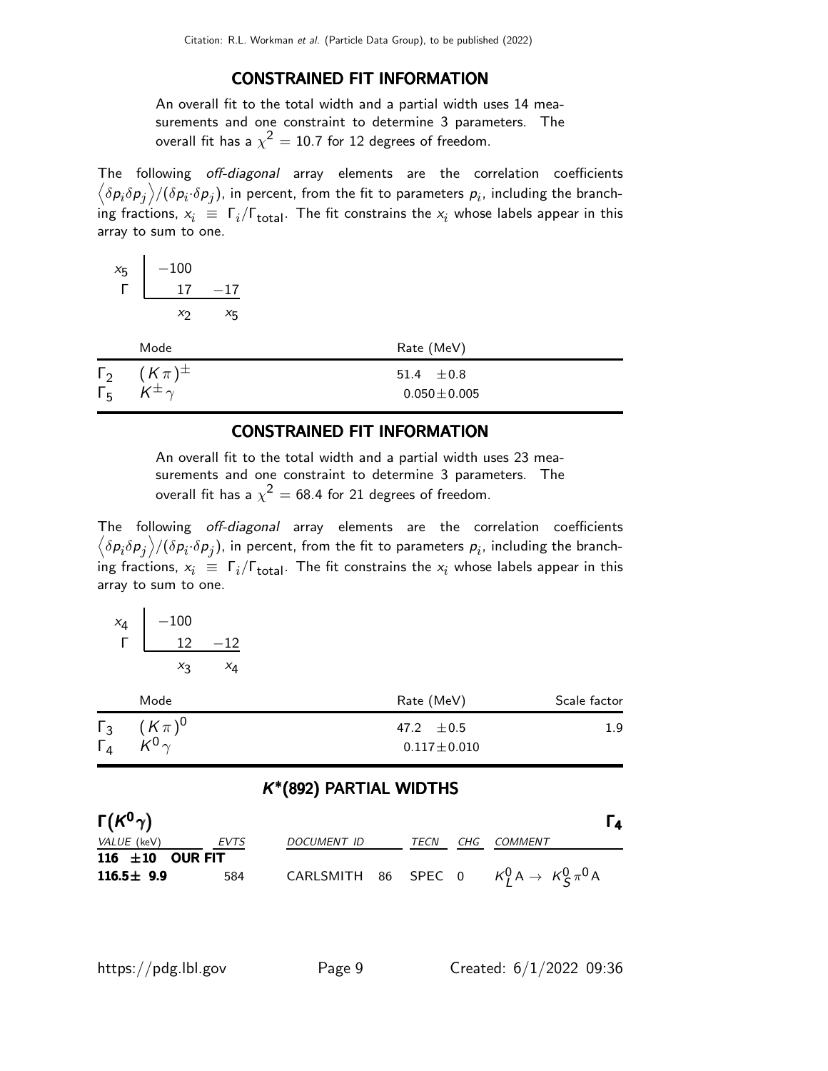#### CONSTRAINED FIT INFORMATION

An overall fit to the total width and a partial width uses 14 measurements and one constraint to determine 3 parameters. The overall fit has a  $\chi^2=10.7$  for 12 degrees of freedom.

The following off-diagonal array elements are the correlation coefficients  $\left<\delta p_i\delta p_j\right>$ /( $\delta p_i\!\cdot\!\delta p_j$ ), in percent, from the fit to parameters  $p_i$ , including the branching fractions,  $x_i \equiv \Gamma_i/\Gamma_{\rm total}$ . The fit constrains the  $x_i$  whose labels appear in this array to sum to one.

$$
\begin{array}{c|cc}\nx_5 & -100 \\
\hline\n\Gamma & 17 & -17 \\
\hline\nx_2 & x_5\n\end{array}
$$

| Mode                                                     | Rate (MeV)                          |
|----------------------------------------------------------|-------------------------------------|
| $\Gamma_2$ $(K\pi)^{\pm}$<br>$\Gamma_5$ $K^{\pm} \gamma$ | 51.4 $\pm 0.8$<br>$0.050 \pm 0.005$ |

#### CONSTRAINED FIT INFORMATION

An overall fit to the total width and a partial width uses 23 measurements and one constraint to determine 3 parameters. The overall fit has a  $\chi^2 =$  68.4 for 21 degrees of freedom.

The following off-diagonal array elements are the correlation coefficients  $\left<\delta p_i\delta p_j\right>$ /( $\delta p_i\!\cdot\!\delta p_j$ ), in percent, from the fit to parameters  $p_i$ , including the branching fractions,  $x_i \equiv \Gamma_i/\Gamma_{\rm total}$ . The fit constrains the  $x_i$  whose labels appear in this array to sum to one.

| $x_4$ | $-100$ |    |
|-------|--------|----|
|       | 12     | 12 |
|       | Xз     | X4 |

|                                     | Mode        | Rate (MeV)            | Scale factor |
|-------------------------------------|-------------|-----------------------|--------------|
| $\Gamma_3$<br>$\overline{\Gamma}_4$ | $(K \pi)^0$ | 47.2 $\pm 0.5$        | 1.9          |
|                                     | $K^0$       | $0.117 \!\pm\! 0.010$ |              |

### K ∗ (892) PARTIAL WIDTHS

| $\Gamma(K^0\gamma)$ |         |             |      |     | l 4                                                     |
|---------------------|---------|-------------|------|-----|---------------------------------------------------------|
| <i>VALUE</i> (keV)  | EVTS    | DOCUMENT ID | TECN | CHG | <i>COMMENT</i>                                          |
| 116 $\pm 10$        | OUR FIT |             |      |     |                                                         |
| $116.5 \pm 9.9$     | 584     |             |      |     | CARLSMITH 86 SPEC 0 $K_I^0 A \rightarrow K_S^0 \pi^0 A$ |

| https://pdg.lbl.gov |  |  |
|---------------------|--|--|
|---------------------|--|--|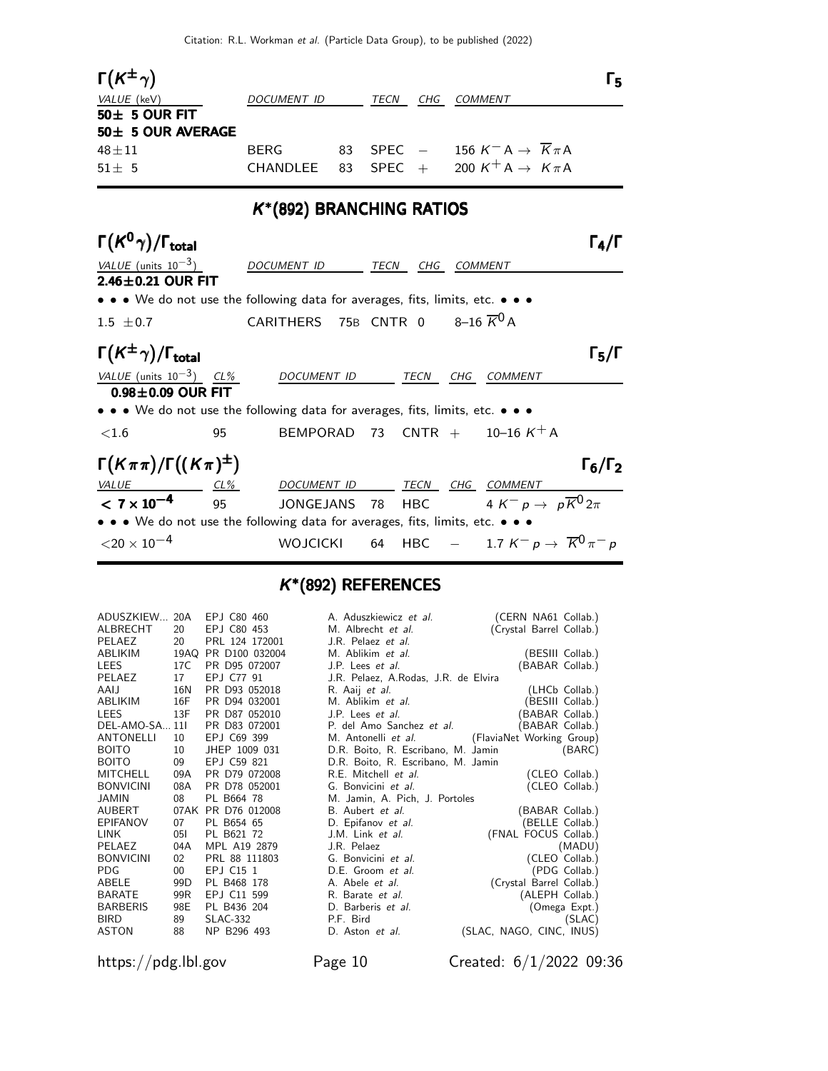| $\Gamma(K^{\pm}\gamma)$<br>VALUE (keV)<br>$50\pm 5$ OUR FIT<br>50± 5 OUR AVERAGE<br>$48 \pm 11$        | DOCUMENT ID<br><b>BERG</b>            |    |      | TECN CHG COMMENT                                    |                | 83 SPEC $-$ 156 K <sup>-</sup> A $\rightarrow$ $\overline{K}\pi$ A | Г5                  |
|--------------------------------------------------------------------------------------------------------|---------------------------------------|----|------|-----------------------------------------------------|----------------|--------------------------------------------------------------------|---------------------|
| $51 \pm 5$                                                                                             | <b>CHANDLEE</b>                       | 83 |      |                                                     |                | SPEC + 200 $K^+ A \rightarrow K \pi A$                             |                     |
|                                                                                                        | K <sup>*</sup> (892) BRANCHING RATIOS |    |      |                                                     |                |                                                                    |                     |
| $\Gamma(K^0\gamma)/\Gamma_{\rm total}$                                                                 |                                       |    |      |                                                     |                |                                                                    | $\Gamma_4/\Gamma$   |
| VALUE (units $10^{-3}$ )<br>$2.46\pm0.21$ OUR FIT                                                      | DOCUMENT ID                           |    |      | TECN CHG                                            | <b>COMMENT</b> |                                                                    |                     |
| • • • We do not use the following data for averages, fits, limits, etc. • • •                          |                                       |    |      |                                                     |                |                                                                    |                     |
| $1.5 \pm 0.7$                                                                                          | <b>CARITHERS</b>                      |    |      | 75B CNTR 0 $8\text{--}16\ \overline{K}^0\,\text{A}$ |                |                                                                    |                     |
| $\Gamma(K^{\pm}\gamma)/\Gamma_{\rm total}$                                                             |                                       |    |      |                                                     |                |                                                                    | $\Gamma_5/\Gamma$   |
| VALUE (units $10^{-3}$ ) CL%                                                                           | <b>DOCUMENT ID</b>                    |    |      | TECN CHG                                            |                | COMMENT                                                            |                     |
| $0.98\pm0.09$ OUR FIT<br>• • • We do not use the following data for averages, fits, limits, etc. • • • |                                       |    |      |                                                     |                |                                                                    |                     |
| ${<}1.6$<br>95                                                                                         |                                       |    |      |                                                     |                | BEMPORAD 73 CNTR + $10-16 K^{+} A$                                 |                     |
| $\Gamma(K\pi\pi)/\Gamma((K\pi)^{\pm})$                                                                 |                                       |    |      |                                                     |                |                                                                    | $\Gamma_6/\Gamma_2$ |
| $VALU E$ $CL\%$                                                                                        | DOCUMENT ID TECN CHG COMMENT          |    |      |                                                     |                |                                                                    |                     |
| $< 7 \times 10^{-4}$<br>95                                                                             | <b>JONGEJANS</b>                      |    | - 78 | <b>HBC</b>                                          |                | 4 K <sup>-</sup> p $\rightarrow$ p $\overline{K}^{0}2\pi$          |                     |
| • • • We do not use the following data for averages, fits, limits, etc. • • •                          |                                       |    |      |                                                     |                |                                                                    |                     |
| $<$ 20 $\times$ 10 $^{-4}$                                                                             | <b>WOJCICKI</b>                       |    |      |                                                     |                | 64 HBC $-$ 1.7 $K^- p \to \overline{K}^0 \pi^- p$                  |                     |

### K ∗ (892) REFERENCES

| ADUSZKIEW 20A<br>ALBRECHT | 20              | EPJ C80 460<br>EPJ C80 453 | A. Aduszkiewicz <i>et al.</i><br>M. Albrecht <i>et al.</i> | (CERN NA61 Collab.)      |
|---------------------------|-----------------|----------------------------|------------------------------------------------------------|--------------------------|
| PELAEZ                    | 20              | PRL 124 172001             | J.R. Pelaez et al.                                         | (Crystal Barrel Collab.) |
| ABLIKIM                   | 19AQ            | PR D100 032004             | M. Ablikim et al.                                          | (BESIII Collab.)         |
| LEES                      | 17C             | PR D95 072007              | J.P. Lees et al.                                           | (BABAR Collab.)          |
| PELAEZ                    | 17              | EP.I C77 91                | J.R. Pelaez, A.Rodas, J.R. de Elvira                       |                          |
| AAIJ                      | 16N             | PR D93 052018              | R. Aaij et al.                                             | (LHCb Collab.)           |
| ABLIKIM                   | 16F             | PR D94 032001              | M. Ablikim <i>et al.</i>                                   | (BESIII Collab.)         |
| LEES                      | 13F             | PR D87 052010              | J.P. Lees <i>et al.</i>                                    | (BABAR Collab.)          |
| DEL-AMO-SA 11l            |                 | PR D83 072001              | P. del Amo Sanchez et al.                                  | (BABAR Collab.)          |
| ANTONELLI                 | 10              | EPJ C69 399                | M. Antonelli et al. (FlaviaNet Working Group)              |                          |
| BOITO                     | 10              | JHEP 1009 031              | D.R. Boito, R. Escribano, M. Jamin                         | (BARC)                   |
| BOITO                     | 09              | EPJ C59 821                | D.R. Boito, R. Escribano, M. Jamin                         |                          |
| MITCHELL                  | 09A             | PR D79 072008              | R.E. Mitchell et al.                                       | (CLEO Collab.)           |
| <b>BONVICINI</b>          | 08A             | PR D78 052001              | G. Bonvicini et al.                                        | (CLEO Collab.)           |
| JAMIN                     | 08              | PL B664 78                 | M. Jamin, A. Pich, J. Portoles                             |                          |
| AUBERT                    |                 | 07AK PR D76 012008         | B. Aubert et al.                                           | (BABAR Collab.)          |
| EPIFANOV                  | 07              | PL B654 65                 | D. Epifanov et al.                                         | (BELLE Collab.)          |
| LINK                      | 051             | PL B621 72                 | J.M. Link et al.                                           | (FNAL FOCUS Collab.)     |
| PELAEZ                    | 04A             | MPL A19 2879               | J.R. Pelaez                                                | (MADU)                   |
| <b>BONVICINI</b>          | 02 <sub>2</sub> | PRL 88 111803              | G. Bonvicini et al.                                        | (CLEO Collab.)           |
| PDG                       | $00\,$          | EPJ C15 1                  | D.E. Groom et al.                                          | (PDG Collab.)            |
| ABELE                     | 99D             | PL B468 178                | A. Abele et al.                                            | (Crystal Barrel Collab.) |
| BARATE                    | 99R             | EPJ C11 599                | R. Barate <i>et al.</i>                                    | (ALEPH Collab.)          |
| <b>BARBERIS</b>           | 98E             | PL B436 204                | D. Barberis <i>et al.</i>                                  | (Omega Expt.)            |
| BIRD                      | 89              | <b>SLAC-332</b>            | P.F. Bird                                                  | (SLAC)                   |
| ASTON                     | 88              | NP B296 493                | D. Aston et al.                                            | (SLAC, NAGO, CINC, INUS) |
|                           |                 |                            |                                                            |                          |

https://pdg.lbl.gov Page 10 Created: 6/1/2022 09:36